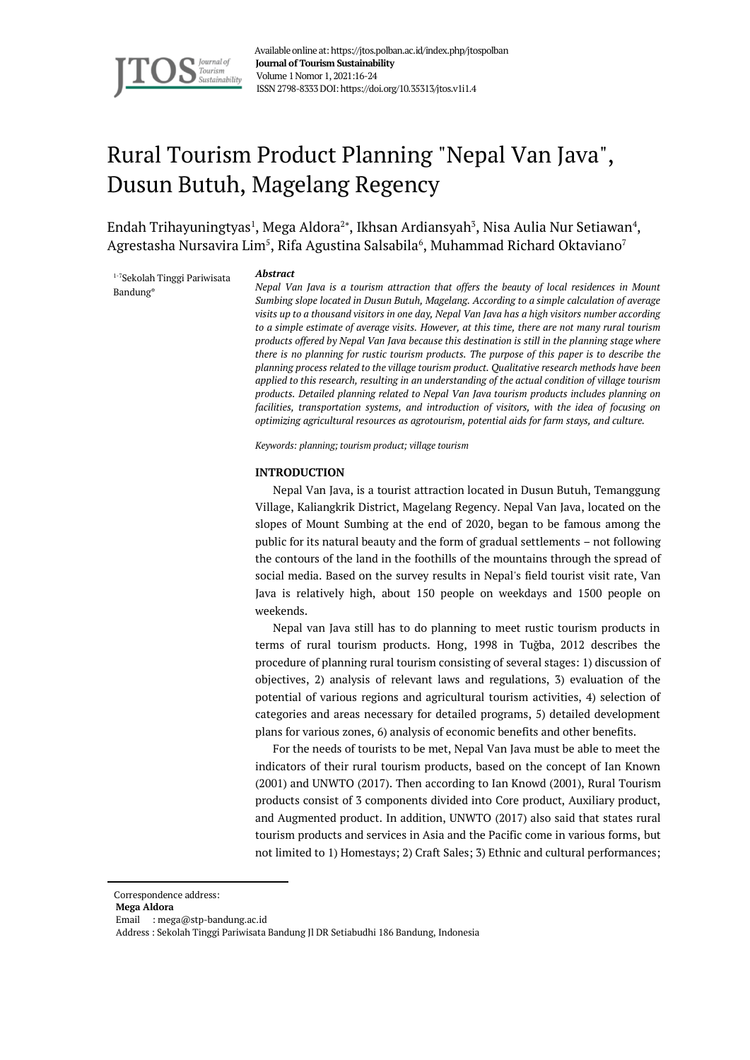

 Available online at: https://jtos.polban.ac.id/index.php/jtospolban  **Journal of Tourism Sustainability** Volume 1Nomor 1, 2021:16-24 ISSN 2798-8333DOI: https://doi.org/10.35313/jtos.v1i1.4

# Rural Tourism Product Planning "Nepal Van Java", Dusun Butuh, Magelang Regency

Endah Trihayuningtyas<sup>1</sup>, Mega Aldora<sup>2\*</sup>, Ikhsan Ardiansyah<sup>3</sup>, Nisa Aulia Nur Setiawan<sup>4</sup>, Agrestasha Nursavira Lim $^5$ , Rifa Agustina Salsabila $^6$ , Muhammad Richard Oktaviano $^7$ 

1-7Sekolah Tinggi Pariwisata Bandung\*

#### *Abstract*

*Nepal Van Java is a tourism attraction that offers the beauty of local residences in Mount Sumbing slope located in Dusun Butuh, Magelang. According to a simple calculation of average visits up to a thousand visitors in one day, Nepal Van Java has a high visitors number according to a simple estimate of average visits. However, at this time, there are not many rural tourism products offered by Nepal Van Java because this destination is still in the planning stage where there is no planning for rustic tourism products. The purpose of this paper is to describe the planning process related to the village tourism product. Qualitative research methods have been applied to this research, resulting in an understanding of the actual condition of village tourism products. Detailed planning related to Nepal Van Java tourism products includes planning on*  facilities, transportation systems, and introduction of visitors, with the idea of focusing on *optimizing agricultural resources as agrotourism, potential aids for farm stays, and culture.*

*Keywords: planning; tourism product; village tourism*

#### **INTRODUCTION**

Nepal Van Java, is a tourist attraction located in Dusun Butuh, Temanggung Village, Kaliangkrik District, Magelang Regency. Nepal Van Java, located on the slopes of Mount Sumbing at the end of 2020, began to be famous among the public for its natural beauty and the form of gradual settlements – not following the contours of the land in the foothills of the mountains through the spread of social media. Based on the survey results in Nepal's field tourist visit rate, Van Java is relatively high, about 150 people on weekdays and 1500 people on weekends.

Nepal van Java still has to do planning to meet rustic tourism products in terms of rural tourism products. Hong, 1998 in Tuğba, 2012 describes the procedure of planning rural tourism consisting of several stages: 1) discussion of objectives, 2) analysis of relevant laws and regulations, 3) evaluation of the potential of various regions and agricultural tourism activities, 4) selection of categories and areas necessary for detailed programs, 5) detailed development plans for various zones, 6) analysis of economic benefits and other benefits.

For the needs of tourists to be met, Nepal Van Java must be able to meet the indicators of their rural tourism products, based on the concept of Ian Known (2001) and UNWTO (2017). Then according to Ian Knowd (2001), Rural Tourism products consist of 3 components divided into Core product, Auxiliary product, and Augmented product. In addition, UNWTO (2017) also said that states rural tourism products and services in Asia and the Pacific come in various forms, but not limited to 1) Homestays; 2) Craft Sales; 3) Ethnic and cultural performances;

Correspondence address:

**Mega Aldora**

Email : mega@stp-bandung.ac.id

Address : Sekolah Tinggi Pariwisata Bandung Jl DR Setiabudhi 186 Bandung, Indonesia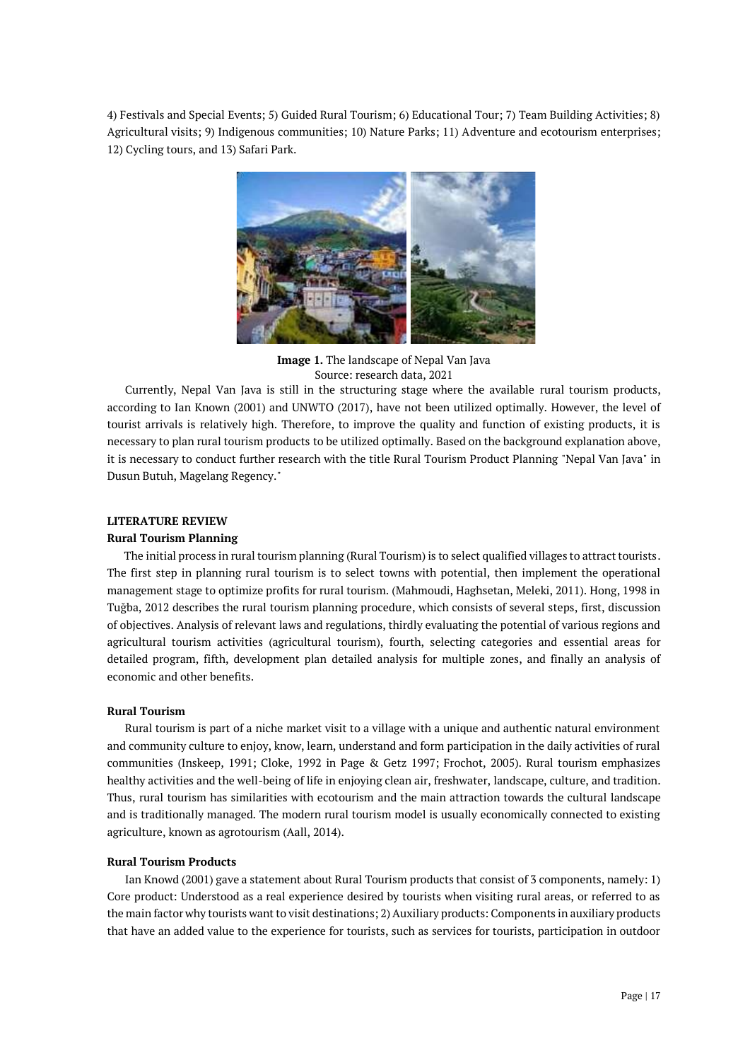4) Festivals and Special Events; 5) Guided Rural Tourism; 6) Educational Tour; 7) Team Building Activities; 8) Agricultural visits; 9) Indigenous communities; 10) Nature Parks; 11) Adventure and ecotourism enterprises; 12) Cycling tours, and 13) Safari Park.



**Image 1.** The landscape of Nepal Van Java Source: research data, 2021

Currently, Nepal Van Java is still in the structuring stage where the available rural tourism products, according to Ian Known (2001) and UNWTO (2017), have not been utilized optimally. However, the level of tourist arrivals is relatively high. Therefore, to improve the quality and function of existing products, it is necessary to plan rural tourism products to be utilized optimally. Based on the background explanation above, it is necessary to conduct further research with the title Rural Tourism Product Planning "Nepal Van Java" in Dusun Butuh, Magelang Regency."

## **LITERATURE REVIEW**

# **Rural Tourism Planning**

The initial process in rural tourism planning (Rural Tourism) is to select qualified villages to attract tourists. The first step in planning rural tourism is to select towns with potential, then implement the operational management stage to optimize profits for rural tourism. (Mahmoudi, Haghsetan, Meleki, 2011). Hong, 1998 in Tuğba, 2012 describes the rural tourism planning procedure, which consists of several steps, first, discussion of objectives. Analysis of relevant laws and regulations, thirdly evaluating the potential of various regions and agricultural tourism activities (agricultural tourism), fourth, selecting categories and essential areas for detailed program, fifth, development plan detailed analysis for multiple zones, and finally an analysis of economic and other benefits.

## **Rural Tourism**

Rural tourism is part of a niche market visit to a village with a unique and authentic natural environment and community culture to enjoy, know, learn, understand and form participation in the daily activities of rural communities (Inskeep, 1991; Cloke, 1992 in Page & Getz 1997; Frochot, 2005). Rural tourism emphasizes healthy activities and the well-being of life in enjoying clean air, freshwater, landscape, culture, and tradition. Thus, rural tourism has similarities with ecotourism and the main attraction towards the cultural landscape and is traditionally managed. The modern rural tourism model is usually economically connected to existing agriculture, known as agrotourism (Aall, 2014).

### **Rural Tourism Products**

Ian Knowd (2001) gave a statement about Rural Tourism products that consist of 3 components, namely: 1) Core product: Understood as a real experience desired by tourists when visiting rural areas, or referred to as the main factor why tourists want to visit destinations; 2) Auxiliary products: Components in auxiliary products that have an added value to the experience for tourists, such as services for tourists, participation in outdoor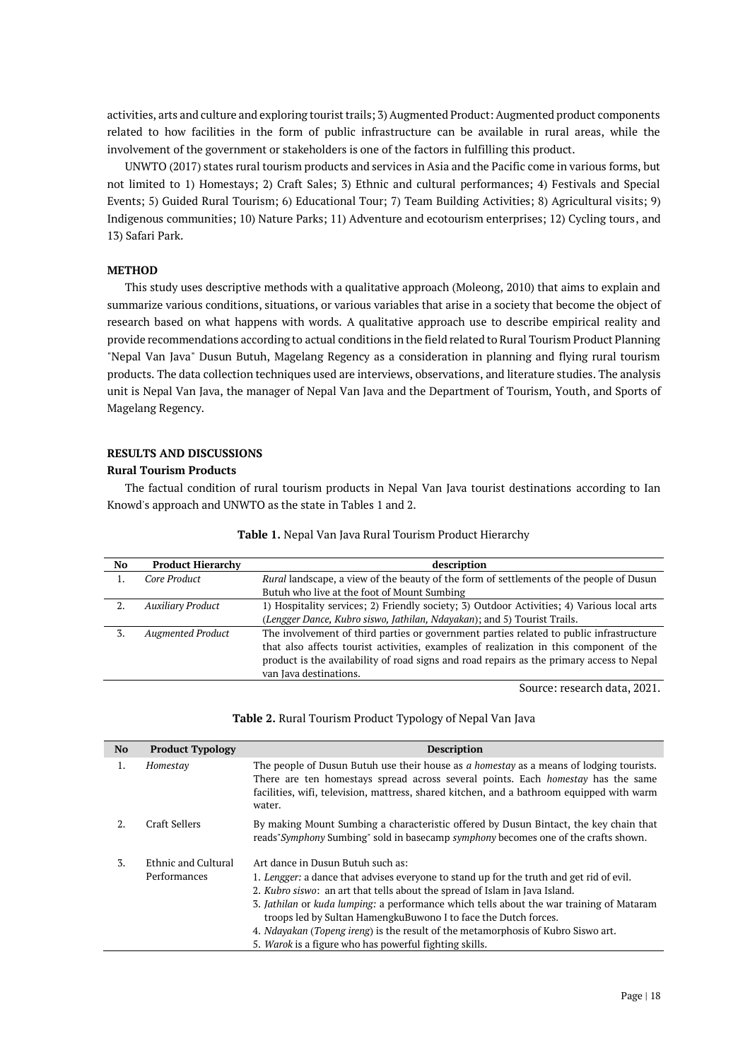activities, arts and culture and exploring tourist trails; 3) Augmented Product: Augmented product components related to how facilities in the form of public infrastructure can be available in rural areas, while the involvement of the government or stakeholders is one of the factors in fulfilling this product.

UNWTO (2017) states rural tourism products and services in Asia and the Pacific come in various forms, but not limited to 1) Homestays; 2) Craft Sales; 3) Ethnic and cultural performances; 4) Festivals and Special Events; 5) Guided Rural Tourism; 6) Educational Tour; 7) Team Building Activities; 8) Agricultural visits; 9) Indigenous communities; 10) Nature Parks; 11) Adventure and ecotourism enterprises; 12) Cycling tours, and 13) Safari Park.

## **METHOD**

This study uses descriptive methods with a qualitative approach (Moleong, 2010) that aims to explain and summarize various conditions, situations, or various variables that arise in a society that become the object of research based on what happens with words. A qualitative approach use to describe empirical reality and provide recommendations according to actual conditions in the field related to Rural Tourism Product Planning "Nepal Van Java" Dusun Butuh, Magelang Regency as a consideration in planning and flying rural tourism products. The data collection techniques used are interviews, observations, and literature studies. The analysis unit is Nepal Van Java, the manager of Nepal Van Java and the Department of Tourism, Youth, and Sports of Magelang Regency.

# **RESULTS AND DISCUSSIONS**

### **Rural Tourism Products**

The factual condition of rural tourism products in Nepal Van Java tourist destinations according to Ian Knowd's approach and UNWTO as the state in Tables 1 and 2.

| No | <b>Product Hierarchy</b> | description                                                                                                                                                                         |
|----|--------------------------|-------------------------------------------------------------------------------------------------------------------------------------------------------------------------------------|
|    | Core Product             | Rural landscape, a view of the beauty of the form of settlements of the people of Dusun                                                                                             |
|    |                          | Butuh who live at the foot of Mount Sumbing                                                                                                                                         |
|    | <b>Auxiliary Product</b> | 1) Hospitality services; 2) Friendly society; 3) Outdoor Activities; 4) Various local arts                                                                                          |
|    |                          | (Lengger Dance, Kubro siswo, Jathilan, Ndayakan); and 5) Tourist Trails.                                                                                                            |
|    | <b>Augmented Product</b> | The involvement of third parties or government parties related to public infrastructure                                                                                             |
|    |                          | that also affects tourist activities, examples of realization in this component of the<br>product is the availability of road signs and road repairs as the primary access to Nepal |
|    |                          | van Java destinations.                                                                                                                                                              |

#### **Table 1.** Nepal Van Java Rural Tourism Product Hierarchy

Source: research data, 2021.

#### **Table 2.** Rural Tourism Product Typology of Nepal Van Java

| <b>No</b> | <b>Product Typology</b>             | <b>Description</b>                                                                                                                                                                                                                                                                        |
|-----------|-------------------------------------|-------------------------------------------------------------------------------------------------------------------------------------------------------------------------------------------------------------------------------------------------------------------------------------------|
| 1.        | Homestay                            | The people of Dusun Butuh use their house as a homestay as a means of lodging tourists.<br>There are ten homestays spread across several points. Each <i>homestay</i> has the same<br>facilities, wifi, television, mattress, shared kitchen, and a bathroom equipped with warm<br>water. |
| 2.        | Craft Sellers                       | By making Mount Sumbing a characteristic offered by Dusun Bintact, the key chain that<br>reads" Symphony Sumbing" sold in basecamp symphony becomes one of the crafts shown.                                                                                                              |
| 3.        | Ethnic and Cultural<br>Performances | Art dance in Dusun Butuh such as:                                                                                                                                                                                                                                                         |
|           |                                     | 1. Lengger: a dance that advises everyone to stand up for the truth and get rid of evil.<br>2. <i>Kubro siswo</i> : an art that tells about the spread of Islam in Java Island.                                                                                                           |
|           |                                     | 3. Jathilan or kuda lumping: a performance which tells about the war training of Mataram<br>troops led by Sultan HamengkuBuwono I to face the Dutch forces.                                                                                                                               |
|           |                                     | 4. <i>Ndayakan (Topeng ireng</i> ) is the result of the metamorphosis of Kubro Siswo art.                                                                                                                                                                                                 |
|           |                                     | 5. Warok is a figure who has powerful fighting skills.                                                                                                                                                                                                                                    |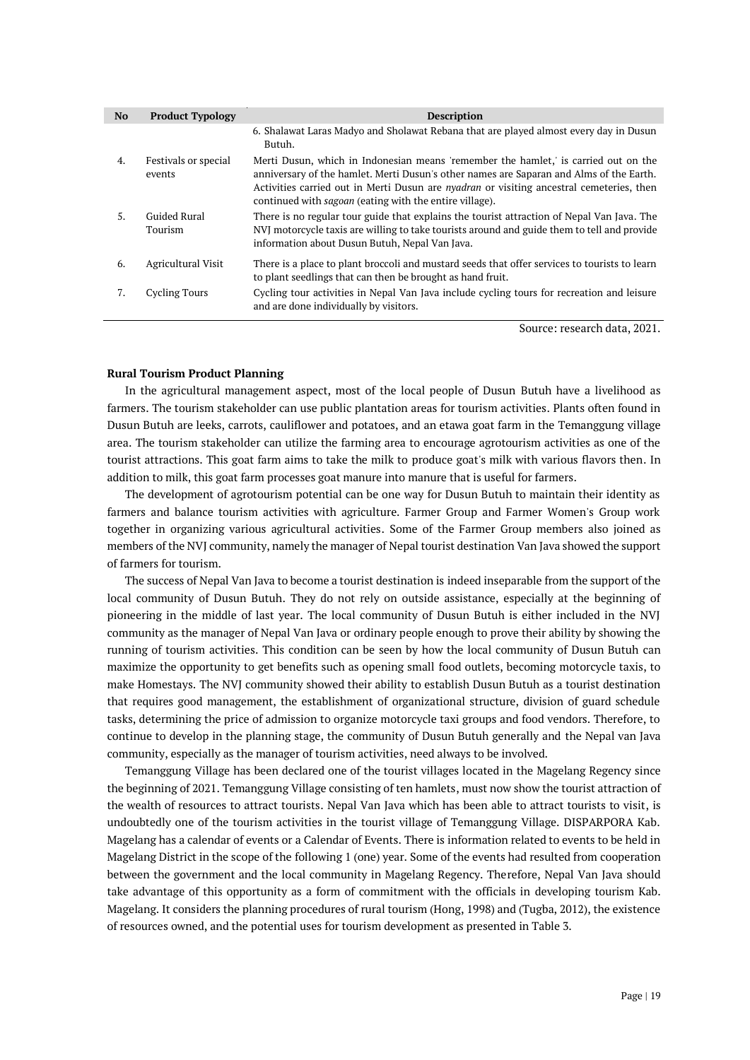| N <sub>o</sub> | <b>Product Typology</b>        | <b>Description</b>                                                                                                                                                                                                                                                                                                                                  |
|----------------|--------------------------------|-----------------------------------------------------------------------------------------------------------------------------------------------------------------------------------------------------------------------------------------------------------------------------------------------------------------------------------------------------|
|                |                                | 6. Shalawat Laras Madyo and Sholawat Rebana that are played almost every day in Dusun<br>Butuh.                                                                                                                                                                                                                                                     |
| 4.             | Festivals or special<br>events | Merti Dusun, which in Indonesian means 'remember the hamlet,' is carried out on the<br>anniversary of the hamlet. Merti Dusun's other names are Saparan and Alms of the Earth.<br>Activities carried out in Merti Dusun are <i>nyadran</i> or visiting ancestral cemeteries, then<br>continued with <i>sagoan</i> (eating with the entire village). |
| .5.            | Guided Rural<br><b>Tourism</b> | There is no regular tour guide that explains the tourist attraction of Nepal Van Java. The<br>NVJ motorcycle taxis are willing to take tourists around and guide them to tell and provide<br>information about Dusun Butuh, Nepal Van Java.                                                                                                         |
| 6.             | Agricultural Visit             | There is a place to plant broccoli and mustard seeds that offer services to tourists to learn<br>to plant seedlings that can then be brought as hand fruit.                                                                                                                                                                                         |
| 7.             | Cycling Tours                  | Cycling tour activities in Nepal Van Java include cycling tours for recreation and leisure<br>and are done individually by visitors.                                                                                                                                                                                                                |

Source: research data, 2021.

#### **Rural Tourism Product Planning**

In the agricultural management aspect, most of the local people of Dusun Butuh have a livelihood as farmers. The tourism stakeholder can use public plantation areas for tourism activities. Plants often found in Dusun Butuh are leeks, carrots, cauliflower and potatoes, and an etawa goat farm in the Temanggung village area. The tourism stakeholder can utilize the farming area to encourage agrotourism activities as one of the tourist attractions. This goat farm aims to take the milk to produce goat's milk with various flavors then. In addition to milk, this goat farm processes goat manure into manure that is useful for farmers.

The development of agrotourism potential can be one way for Dusun Butuh to maintain their identity as farmers and balance tourism activities with agriculture. Farmer Group and Farmer Women's Group work together in organizing various agricultural activities. Some of the Farmer Group members also joined as members of the NVJ community, namely the manager of Nepal tourist destination Van Java showed the support of farmers for tourism.

The success of Nepal Van Java to become a tourist destination is indeed inseparable from the support of the local community of Dusun Butuh. They do not rely on outside assistance, especially at the beginning of pioneering in the middle of last year. The local community of Dusun Butuh is either included in the NVJ community as the manager of Nepal Van Java or ordinary people enough to prove their ability by showing the running of tourism activities. This condition can be seen by how the local community of Dusun Butuh can maximize the opportunity to get benefits such as opening small food outlets, becoming motorcycle taxis, to make Homestays. The NVJ community showed their ability to establish Dusun Butuh as a tourist destination that requires good management, the establishment of organizational structure, division of guard schedule tasks, determining the price of admission to organize motorcycle taxi groups and food vendors. Therefore, to continue to develop in the planning stage, the community of Dusun Butuh generally and the Nepal van Java community, especially as the manager of tourism activities, need always to be involved.

Temanggung Village has been declared one of the tourist villages located in the Magelang Regency since the beginning of 2021. Temanggung Village consisting of ten hamlets, must now show the tourist attraction of the wealth of resources to attract tourists. Nepal Van Java which has been able to attract tourists to visit, is undoubtedly one of the tourism activities in the tourist village of Temanggung Village. DISPARPORA Kab. Magelang has a calendar of events or a Calendar of Events. There is information related to events to be held in Magelang District in the scope of the following 1 (one) year. Some of the events had resulted from cooperation between the government and the local community in Magelang Regency. Therefore, Nepal Van Java should take advantage of this opportunity as a form of commitment with the officials in developing tourism Kab. Magelang. It considers the planning procedures of rural tourism (Hong, 1998) and (Tugba, 2012), the existence of resources owned, and the potential uses for tourism development as presented in Table 3.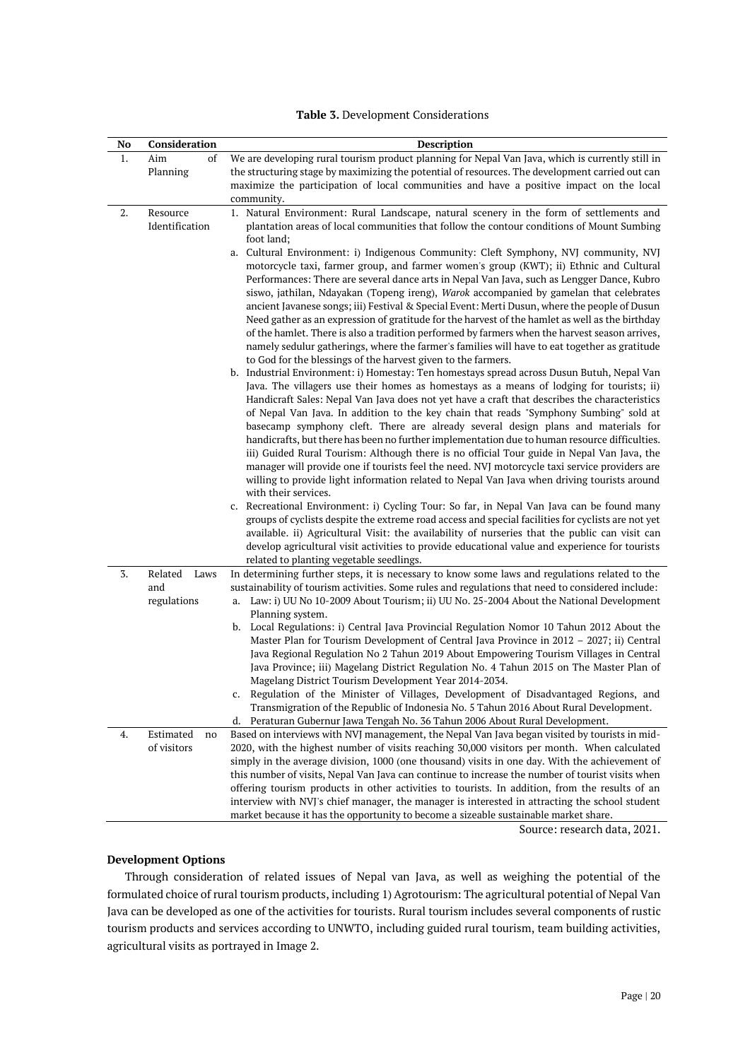|  |  | Table 3. Development Considerations |
|--|--|-------------------------------------|
|--|--|-------------------------------------|

| No | Consideration   | <b>Description</b>                                                                                                                                                                               |
|----|-----------------|--------------------------------------------------------------------------------------------------------------------------------------------------------------------------------------------------|
| 1. | Aim<br>of       | We are developing rural tourism product planning for Nepal Van Java, which is currently still in                                                                                                 |
|    | Planning        | the structuring stage by maximizing the potential of resources. The development carried out can                                                                                                  |
|    |                 | maximize the participation of local communities and have a positive impact on the local                                                                                                          |
|    |                 | community.                                                                                                                                                                                       |
| 2. | Resource        | 1. Natural Environment: Rural Landscape, natural scenery in the form of settlements and                                                                                                          |
|    | Identification  | plantation areas of local communities that follow the contour conditions of Mount Sumbing                                                                                                        |
|    |                 | foot land;                                                                                                                                                                                       |
|    |                 | a. Cultural Environment: i) Indigenous Community: Cleft Symphony, NVJ community, NVJ<br>motorcycle taxi, farmer group, and farmer women's group (KWT); ii) Ethnic and Cultural                   |
|    |                 | Performances: There are several dance arts in Nepal Van Java, such as Lengger Dance, Kubro                                                                                                       |
|    |                 | siswo, jathilan, Ndayakan (Topeng ireng), Warok accompanied by gamelan that celebrates                                                                                                           |
|    |                 | ancient Javanese songs; iii) Festival & Special Event: Merti Dusun, where the people of Dusun                                                                                                    |
|    |                 | Need gather as an expression of gratitude for the harvest of the hamlet as well as the birthday                                                                                                  |
|    |                 | of the hamlet. There is also a tradition performed by farmers when the harvest season arrives,                                                                                                   |
|    |                 | namely sedulur gatherings, where the farmer's families will have to eat together as gratitude                                                                                                    |
|    |                 | to God for the blessings of the harvest given to the farmers.                                                                                                                                    |
|    |                 | b. Industrial Environment: i) Homestay: Ten homestays spread across Dusun Butuh, Nepal Van                                                                                                       |
|    |                 | Java. The villagers use their homes as homestays as a means of lodging for tourists; ii)                                                                                                         |
|    |                 | Handicraft Sales: Nepal Van Java does not yet have a craft that describes the characteristics                                                                                                    |
|    |                 | of Nepal Van Java. In addition to the key chain that reads "Symphony Sumbing" sold at                                                                                                            |
|    |                 | basecamp symphony cleft. There are already several design plans and materials for<br>handicrafts, but there has been no further implementation due to human resource difficulties.               |
|    |                 | iii) Guided Rural Tourism: Although there is no official Tour guide in Nepal Van Java, the                                                                                                       |
|    |                 | manager will provide one if tourists feel the need. NVJ motorcycle taxi service providers are                                                                                                    |
|    |                 | willing to provide light information related to Nepal Van Java when driving tourists around                                                                                                      |
|    |                 | with their services.                                                                                                                                                                             |
|    |                 | c. Recreational Environment: i) Cycling Tour: So far, in Nepal Van Java can be found many                                                                                                        |
|    |                 | groups of cyclists despite the extreme road access and special facilities for cyclists are not yet                                                                                               |
|    |                 | available. ii) Agricultural Visit: the availability of nurseries that the public can visit can                                                                                                   |
|    |                 | develop agricultural visit activities to provide educational value and experience for tourists                                                                                                   |
|    |                 | related to planting vegetable seedlings.                                                                                                                                                         |
| 3. | Related<br>Laws | In determining further steps, it is necessary to know some laws and regulations related to the                                                                                                   |
|    | and             | sustainability of tourism activities. Some rules and regulations that need to considered include:                                                                                                |
|    | regulations     | a. Law: i) UU No 10-2009 About Tourism; ii) UU No. 25-2004 About the National Development<br>Planning system.                                                                                    |
|    |                 | b. Local Regulations: i) Central Java Provincial Regulation Nomor 10 Tahun 2012 About the                                                                                                        |
|    |                 | Master Plan for Tourism Development of Central Java Province in 2012 - 2027; ii) Central                                                                                                         |
|    |                 | Java Regional Regulation No 2 Tahun 2019 About Empowering Tourism Villages in Central                                                                                                            |
|    |                 | Java Province; iii) Magelang District Regulation No. 4 Tahun 2015 on The Master Plan of                                                                                                          |
|    |                 | Magelang District Tourism Development Year 2014-2034.                                                                                                                                            |
|    |                 | Regulation of the Minister of Villages, Development of Disadvantaged Regions, and<br>C.                                                                                                          |
|    |                 | Transmigration of the Republic of Indonesia No. 5 Tahun 2016 About Rural Development.                                                                                                            |
|    |                 | Peraturan Gubernur Jawa Tengah No. 36 Tahun 2006 About Rural Development.<br>d.                                                                                                                  |
| 4. | Estimated<br>no | Based on interviews with NVJ management, the Nepal Van Java began visited by tourists in mid-                                                                                                    |
|    | of visitors     | 2020, with the highest number of visits reaching 30,000 visitors per month. When calculated                                                                                                      |
|    |                 | simply in the average division, 1000 (one thousand) visits in one day. With the achievement of                                                                                                   |
|    |                 | this number of visits, Nepal Van Java can continue to increase the number of tourist visits when                                                                                                 |
|    |                 | offering tourism products in other activities to tourists. In addition, from the results of an<br>interview with NVJ's chief manager, the manager is interested in attracting the school student |
|    |                 | market because it has the opportunity to become a sizeable sustainable market share.                                                                                                             |
|    |                 | Source: research data, 2021.                                                                                                                                                                     |

# **Development Options**

Through consideration of related issues of Nepal van Java, as well as weighing the potential of the formulated choice of rural tourism products, including 1) Agrotourism: The agricultural potential of Nepal Van Java can be developed as one of the activities for tourists. Rural tourism includes several components of rustic tourism products and services according to UNWTO, including guided rural tourism, team building activities, agricultural visits as portrayed in Image 2.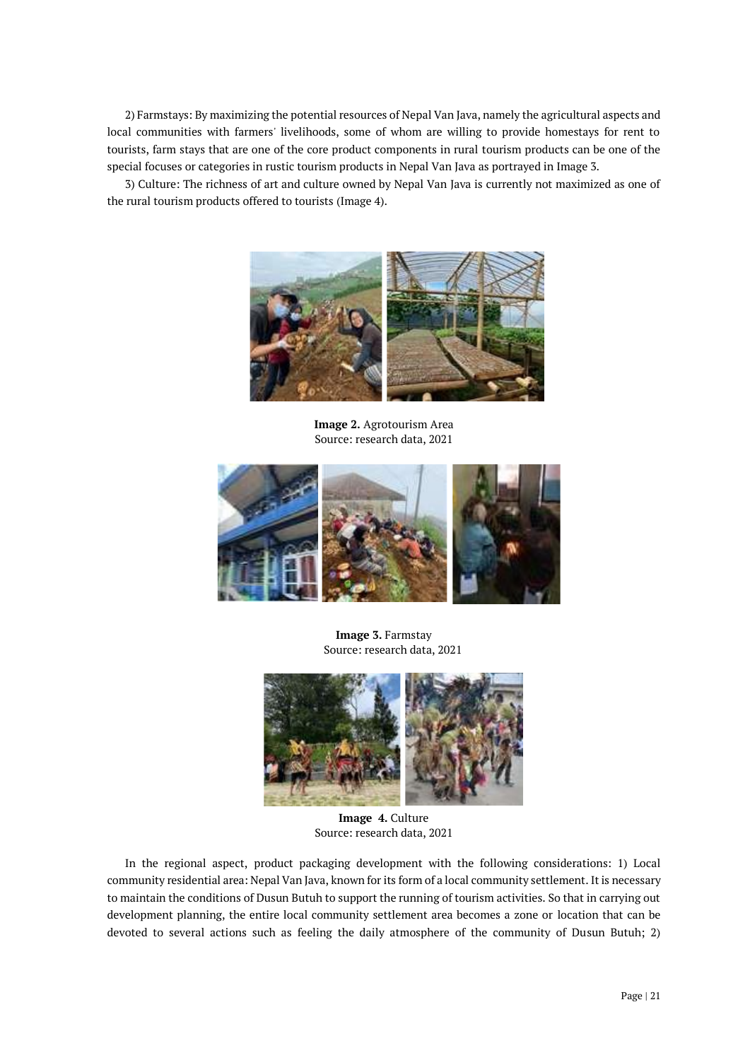2) Farmstays: By maximizing the potential resources of Nepal Van Java, namely the agricultural aspects and local communities with farmers' livelihoods, some of whom are willing to provide homestays for rent to tourists, farm stays that are one of the core product components in rural tourism products can be one of the special focuses or categories in rustic tourism products in Nepal Van Java as portrayed in Image 3.

3) Culture: The richness of art and culture owned by Nepal Van Java is currently not maximized as one of the rural tourism products offered to tourists (Image 4).



**Image 2.** Agrotourism Area Source: research data, 2021



**Image 3.** Farmstay Source: research data, 2021



**Image 4.** Culture Source: research data, 2021

In the regional aspect, product packaging development with the following considerations: 1) Local community residential area: Nepal Van Java, known for its form of a local community settlement. It is necessary to maintain the conditions of Dusun Butuh to support the running of tourism activities. So that in carrying out development planning, the entire local community settlement area becomes a zone or location that can be devoted to several actions such as feeling the daily atmosphere of the community of Dusun Butuh; 2)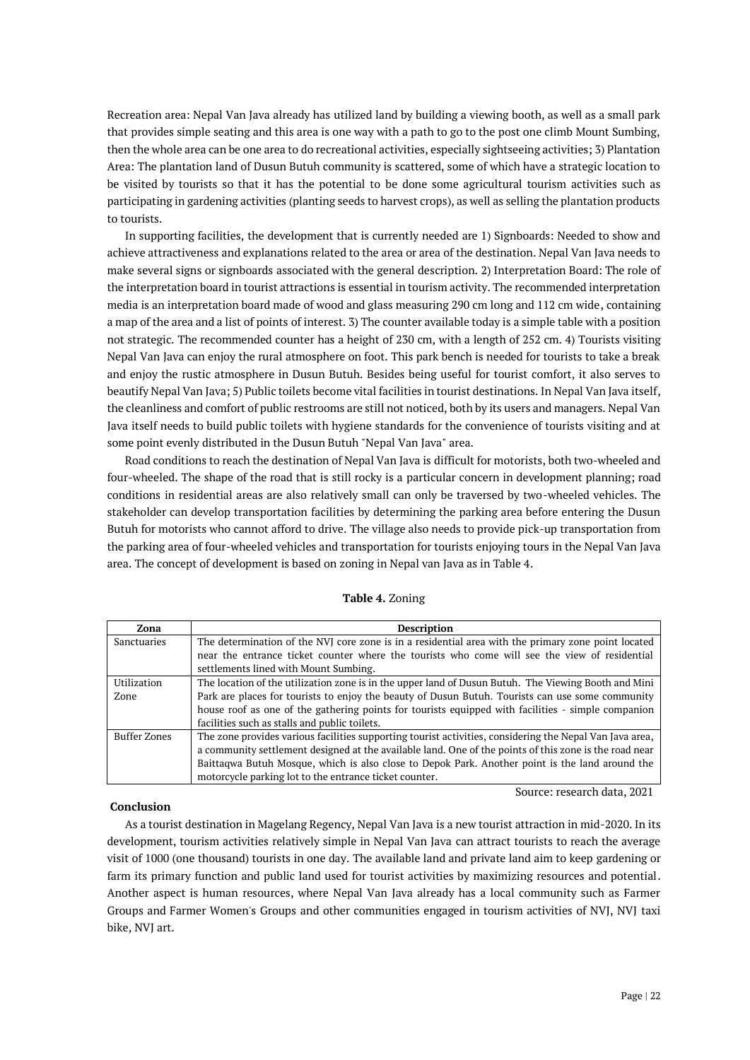Recreation area: Nepal Van Java already has utilized land by building a viewing booth, as well as a small park that provides simple seating and this area is one way with a path to go to the post one climb Mount Sumbing, then the whole area can be one area to do recreational activities, especially sightseeing activities; 3) Plantation Area: The plantation land of Dusun Butuh community is scattered, some of which have a strategic location to be visited by tourists so that it has the potential to be done some agricultural tourism activities such as participating in gardening activities (planting seeds to harvest crops), as well as selling the plantation products to tourists.

In supporting facilities, the development that is currently needed are 1) Signboards: Needed to show and achieve attractiveness and explanations related to the area or area of the destination. Nepal Van Java needs to make several signs or signboards associated with the general description. 2) Interpretation Board: The role of the interpretation board in tourist attractions is essential in tourism activity. The recommended interpretation media is an interpretation board made of wood and glass measuring 290 cm long and 112 cm wide, containing a map of the area and a list of points of interest. 3) The counter available today is a simple table with a position not strategic. The recommended counter has a height of 230 cm, with a length of 252 cm. 4) Tourists visiting Nepal Van Java can enjoy the rural atmosphere on foot. This park bench is needed for tourists to take a break and enjoy the rustic atmosphere in Dusun Butuh. Besides being useful for tourist comfort, it also serves to beautify Nepal Van Java; 5) Public toilets become vital facilities in tourist destinations. In Nepal Van Java itself, the cleanliness and comfort of public restrooms are still not noticed, both by its users and managers. Nepal Van Java itself needs to build public toilets with hygiene standards for the convenience of tourists visiting and at some point evenly distributed in the Dusun Butuh "Nepal Van Java" area.

Road conditions to reach the destination of Nepal Van Java is difficult for motorists, both two-wheeled and four-wheeled. The shape of the road that is still rocky is a particular concern in development planning; road conditions in residential areas are also relatively small can only be traversed by two-wheeled vehicles. The stakeholder can develop transportation facilities by determining the parking area before entering the Dusun Butuh for motorists who cannot afford to drive. The village also needs to provide pick-up transportation from the parking area of four-wheeled vehicles and transportation for tourists enjoying tours in the Nepal Van Java area. The concept of development is based on zoning in Nepal van Java as in Table 4.

| Zona         | <b>Description</b>                                                                                       |
|--------------|----------------------------------------------------------------------------------------------------------|
| Sanctuaries  | The determination of the NVJ core zone is in a residential area with the primary zone point located      |
|              | near the entrance ticket counter where the tourists who come will see the view of residential            |
|              | settlements lined with Mount Sumbing.                                                                    |
| Utilization  | The location of the utilization zone is in the upper land of Dusun Butuh. The Viewing Booth and Mini     |
| Zone         | Park are places for tourists to enjoy the beauty of Dusun Butuh. Tourists can use some community         |
|              | house roof as one of the gathering points for tourists equipped with facilities - simple companion       |
|              | facilities such as stalls and public toilets.                                                            |
| Buffer Zones | The zone provides various facilities supporting tourist activities, considering the Nepal Van Java area, |
|              | a community settlement designed at the available land. One of the points of this zone is the road near   |
|              | Baittaqwa Butuh Mosque, which is also close to Depok Park. Another point is the land around the          |
|              | motorcycle parking lot to the entrance ticket counter.                                                   |

**Table 4.** Zoning

## **Conclusion**

Source: research data, 2021

As a tourist destination in Magelang Regency, Nepal Van Java is a new tourist attraction in mid-2020. In its development, tourism activities relatively simple in Nepal Van Java can attract tourists to reach the average visit of 1000 (one thousand) tourists in one day. The available land and private land aim to keep gardening or farm its primary function and public land used for tourist activities by maximizing resources and potential. Another aspect is human resources, where Nepal Van Java already has a local community such as Farmer Groups and Farmer Women's Groups and other communities engaged in tourism activities of NVJ, NVJ taxi bike, NVJ art.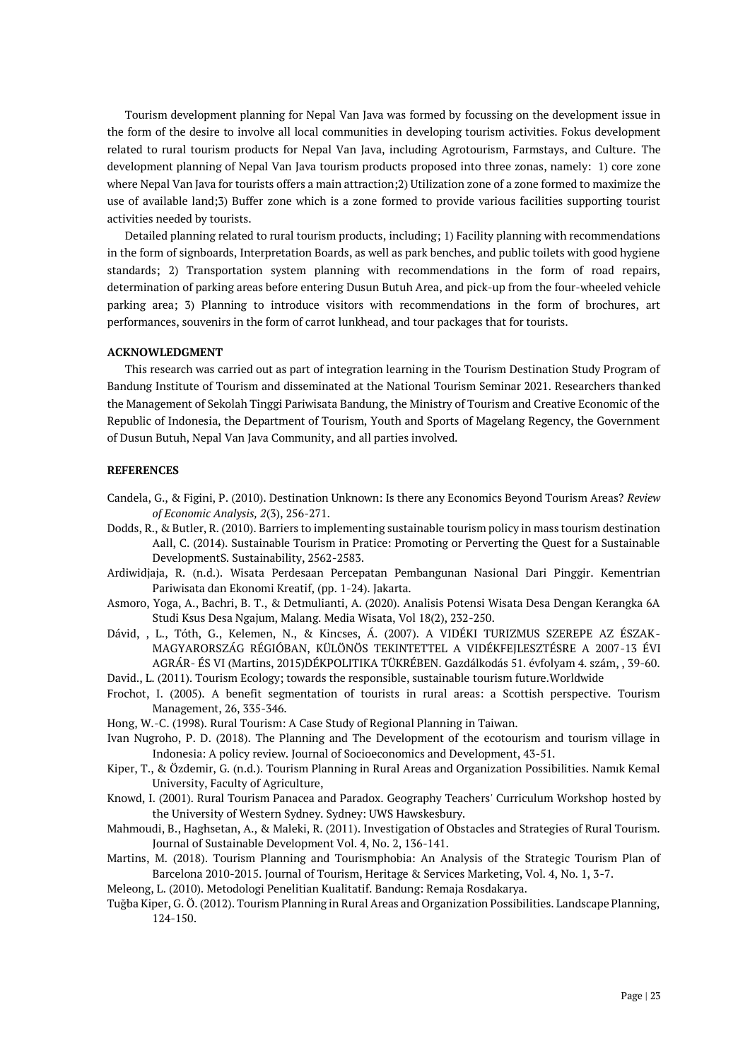Tourism development planning for Nepal Van Java was formed by focussing on the development issue in the form of the desire to involve all local communities in developing tourism activities. Fokus development related to rural tourism products for Nepal Van Java, including Agrotourism, Farmstays, and Culture. The development planning of Nepal Van Java tourism products proposed into three zonas, namely: 1) core zone where Nepal Van Java for tourists offers a main attraction;2) Utilization zone of a zone formed to maximize the use of available land;3) Buffer zone which is a zone formed to provide various facilities supporting tourist activities needed by tourists.

Detailed planning related to rural tourism products, including; 1) Facility planning with recommendations in the form of signboards, Interpretation Boards, as well as park benches, and public toilets with good hygiene standards; 2) Transportation system planning with recommendations in the form of road repairs, determination of parking areas before entering Dusun Butuh Area, and pick-up from the four-wheeled vehicle parking area; 3) Planning to introduce visitors with recommendations in the form of brochures, art performances, souvenirs in the form of carrot lunkhead, and tour packages that for tourists.

# **ACKNOWLEDGMENT**

This research was carried out as part of integration learning in the Tourism Destination Study Program of Bandung Institute of Tourism and disseminated at the National Tourism Seminar 2021. Researchers thanked the Management of Sekolah Tinggi Pariwisata Bandung, the Ministry of Tourism and Creative Economic of the Republic of Indonesia, the Department of Tourism, Youth and Sports of Magelang Regency, the Government of Dusun Butuh, Nepal Van Java Community, and all parties involved.

#### **REFERENCES**

- Candela, G., & Figini, P. (2010). Destination Unknown: Is there any Economics Beyond Tourism Areas? *Review of Economic Analysis, 2*(3), 256-271.
- Dodds, R., & Butler, R. (2010). Barriers to implementing sustainable tourism policy in mass tourism destination Aall, C. (2014). Sustainable Tourism in Pratice: Promoting or Perverting the Quest for a Sustainable DevelopmentS. Sustainability, 2562-2583.
- Ardiwidjaja, R. (n.d.). Wisata Perdesaan Percepatan Pembangunan Nasional Dari Pinggir. Kementrian Pariwisata dan Ekonomi Kreatif, (pp. 1-24). Jakarta.
- Asmoro, Yoga, A., Bachri, B. T., & Detmulianti, A. (2020). Analisis Potensi Wisata Desa Dengan Kerangka 6A Studi Ksus Desa Ngajum, Malang. Media Wisata, Vol 18(2), 232-250.
- Dávid, , L., Tóth, G., Kelemen, N., & Kincses, Á. (2007). A VIDÉKI TURIZMUS SZEREPE AZ ÉSZAK-MAGYARORSZÁG RÉGIÓBAN, KÜLÖNÖS TEKINTETTEL A VIDÉKFEJLESZTÉSRE A 2007-13 ÉVI AGRÁR- ÉS VI (Martins, 2015)DÉKPOLITIKA TÜKRÉBEN. Gazdálkodás 51. évfolyam 4. szám, , 39-60.
- David., L. (2011). Tourism Ecology; towards the responsible, sustainable tourism future.Worldwide
- Frochot, I. (2005). A benefit segmentation of tourists in rural areas: a Scottish perspective. Tourism Management, 26, 335-346.
- Hong, W.-C. (1998). Rural Tourism: A Case Study of Regional Planning in Taiwan.
- Ivan Nugroho, P. D. (2018). The Planning and The Development of the ecotourism and tourism village in Indonesia: A policy review. Journal of Socioeconomics and Development, 43-51.
- Kiper, T., & Özdemir, G. (n.d.). Tourism Planning in Rural Areas and Organization Possibilities. Namık Kemal University, Faculty of Agriculture,
- Knowd, I. (2001). Rural Tourism Panacea and Paradox. Geography Teachers' Curriculum Workshop hosted by the University of Western Sydney. Sydney: UWS Hawskesbury.
- Mahmoudi, B., Haghsetan, A., & Maleki, R. (2011). Investigation of Obstacles and Strategies of Rural Tourism. Journal of Sustainable Development Vol. 4, No. 2, 136-141.
- Martins, M. (2018). Tourism Planning and Tourismphobia: An Analysis of the Strategic Tourism Plan of Barcelona 2010-2015. Journal of Tourism, Heritage & Services Marketing, Vol. 4, No. 1, 3-7.

Meleong, L. (2010). Metodologi Penelitian Kualitatif. Bandung: Remaja Rosdakarya.

Tuğba Kiper, G. Ö. (2012). Tourism Planning in Rural Areas and Organization Possibilities. Landscape Planning, 124-150.